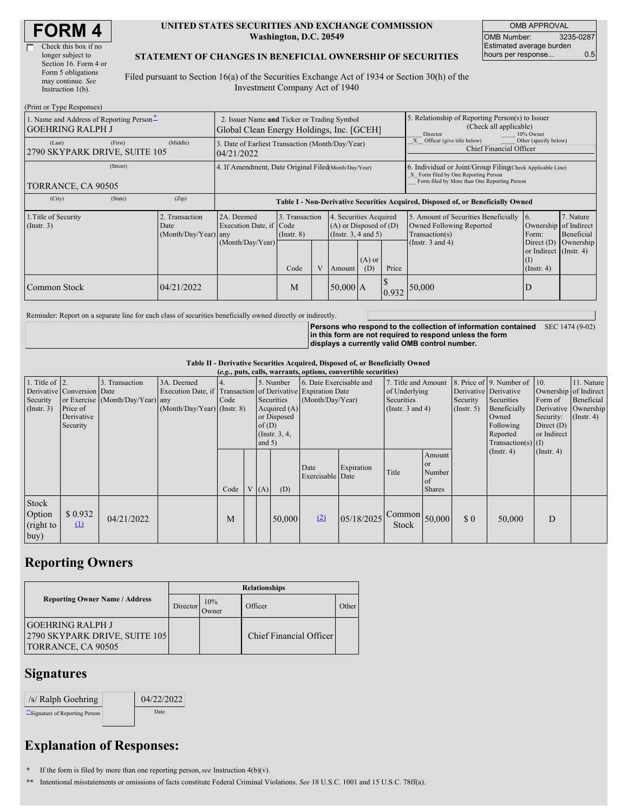| <b>FORM4</b> |
|--------------|
|--------------|

г

| Check this box if no  |
|-----------------------|
| longer subject to     |
| Section 16. Form 4 or |
| Form 5 obligations    |
| may continue. See     |
| Instruction 1(b).     |
|                       |

#### **UNITED STATES SECURITIES AND EXCHANGE COMMISSION Washington, D.C. 20549**

OMB APPROVAL OMB Number: 3235-0287 Estimated average burden hours per response... 0.5

#### **STATEMENT OF CHANGES IN BENEFICIAL OWNERSHIP OF SECURITIES**

Filed pursuant to Section 16(a) of the Securities Exchange Act of 1934 or Section 30(h) of the Investment Company Act of 1940

| (Print or Type Responses)                                           |                                                                                          |                                                                                                                                                    |                                    |   |                                                                              |                                                                                                                                                    |       |                                                                                    |                                                                |                         |
|---------------------------------------------------------------------|------------------------------------------------------------------------------------------|----------------------------------------------------------------------------------------------------------------------------------------------------|------------------------------------|---|------------------------------------------------------------------------------|----------------------------------------------------------------------------------------------------------------------------------------------------|-------|------------------------------------------------------------------------------------|----------------------------------------------------------------|-------------------------|
| 1. Name and Address of Reporting Person-<br><b>GOEHRING RALPH J</b> | 2. Issuer Name and Ticker or Trading Symbol<br>Global Clean Energy Holdings, Inc. [GCEH] |                                                                                                                                                    |                                    |   |                                                                              | 5. Relationship of Reporting Person(s) to Issuer<br>(Check all applicable)<br>Director<br>10% Owner                                                |       |                                                                                    |                                                                |                         |
| (First)<br>(Last)<br>2790 SKYPARK DRIVE, SUITE 105                  | (Middle)                                                                                 | Other (specify below)<br>X Officer (give title below)<br>3. Date of Earliest Transaction (Month/Day/Year)<br>Chief Financial Officer<br>04/21/2022 |                                    |   |                                                                              |                                                                                                                                                    |       |                                                                                    |                                                                |                         |
| (Street)<br>TORRANCE, CA 90505                                      | 4. If Amendment, Date Original Filed(Month/Day/Year)                                     |                                                                                                                                                    |                                    |   |                                                                              | 6. Individual or Joint/Group Filing Check Applicable Line)<br>X Form filed by One Reporting Person<br>Form filed by More than One Reporting Person |       |                                                                                    |                                                                |                         |
| (State)<br>(City)                                                   | (Zip)                                                                                    |                                                                                                                                                    |                                    |   |                                                                              |                                                                                                                                                    |       | Table I - Non-Derivative Securities Acquired, Disposed of, or Beneficially Owned   |                                                                |                         |
| 1. Title of Security<br>$($ Instr. 3 $)$                            | 2. Transaction<br>Date<br>(Month/Day/Year) any                                           | 2A. Deemed<br>Execution Date, if Code                                                                                                              | 3. Transaction<br>$($ Instr. 8 $)$ |   | 4. Securities Acquired<br>$(A)$ or Disposed of $(D)$<br>(Insert. 3, 4 and 5) |                                                                                                                                                    |       | 5. Amount of Securities Beneficially<br>Owned Following Reported<br>Transaction(s) | 16.<br>Ownership of Indirect<br>Form:                          | 7. Nature<br>Beneficial |
|                                                                     |                                                                                          | (Month/Day/Year)                                                                                                                                   | Code                               | V | Amount                                                                       | $(A)$ or<br>(D)                                                                                                                                    | Price | (Instr. $3$ and $4$ )                                                              | Direct $(D)$<br>or Indirect (Instr. 4)<br>(I)<br>$($ Instr. 4) | Ownership               |
| Common Stock                                                        | 04/21/2022                                                                               |                                                                                                                                                    | M                                  |   | $50,000$ A                                                                   |                                                                                                                                                    | 0.932 | 50,000                                                                             | ID                                                             |                         |

Reminder: Report on a separate line for each class of securities beneficially owned directly or indirectly.

**Persons who respond to the collection of information contained** SEC 1474 (9-02) **in this form are not required to respond unless the form displays a currently valid OMB control number.**

**Table II - Derivative Securities Acquired, Disposed of, or Beneficially Owned**

|                                                    | (e.g., puts, calls, warrants, options, convertible securities)   |                                                    |                                                                                                             |      |  |                   |                                                                             |                                             |            |                                                                             |                                                                   |                                                  |                                                                                                                                      |                                                                              |                                                                      |
|----------------------------------------------------|------------------------------------------------------------------|----------------------------------------------------|-------------------------------------------------------------------------------------------------------------|------|--|-------------------|-----------------------------------------------------------------------------|---------------------------------------------|------------|-----------------------------------------------------------------------------|-------------------------------------------------------------------|--------------------------------------------------|--------------------------------------------------------------------------------------------------------------------------------------|------------------------------------------------------------------------------|----------------------------------------------------------------------|
| 1. Title of $ 2$ .<br>Security<br>$($ Instr. 3 $)$ | Derivative Conversion Date<br>Price of<br>Derivative<br>Security | 3. Transaction<br>or Exercise (Month/Day/Year) any | 3A. Deemed<br>Execution Date, if Transaction of Derivative Expiration Date<br>$(Month/Day/Year)$ (Instr. 8) | Code |  | of(D)<br>and $5)$ | 5. Number<br>Securities<br>Acquired $(A)$<br>or Disposed<br>(Instr. $3, 4,$ | 6. Date Exercisable and<br>(Month/Day/Year) |            | 7. Title and Amount<br>of Underlying<br>Securities<br>(Instr. $3$ and $4$ ) |                                                                   | Derivative Derivative<br>Security<br>(Insert. 5) | 8. Price of $\vert$ 9. Number of $\vert$ 10.<br>Securities<br>Beneficially<br>Owned<br>Following<br>Reported<br>$Transaction(s)$ (I) | Ownership of Indirect<br>Form of<br>Security:<br>Direct $(D)$<br>or Indirect | 11. Nature<br>Beneficial<br>Derivative Ownership<br>$($ Instr. 4 $)$ |
|                                                    |                                                                  |                                                    |                                                                                                             | Code |  | V(A)              | (D)                                                                         | Date<br>Exercisable Date                    | Expiration | Title                                                                       | <b>Amount</b><br><sub>or</sub><br>Number<br>l of<br><b>Shares</b> |                                                  | $($ Instr. 4 $)$                                                                                                                     | $($ Instr. 4 $)$                                                             |                                                                      |
| Stock<br>Option<br>(right to<br>buy)               | \$0.932<br>$\Omega$                                              | 04/21/2022                                         |                                                                                                             | M    |  |                   | 50,000                                                                      | (2)                                         | 05/18/2025 | $\sim$ Common $_{50,000}$<br>Stock                                          |                                                                   | \$0                                              | 50,000                                                                                                                               | D                                                                            |                                                                      |

## **Reporting Owners**

|                                                                                | <b>Relationships</b> |              |                         |       |  |  |  |
|--------------------------------------------------------------------------------|----------------------|--------------|-------------------------|-------|--|--|--|
| <b>Reporting Owner Name / Address</b>                                          | Director             | 10%<br>Jwner | Officer                 | Other |  |  |  |
| <b>GOEHRING RALPH J</b><br>2790 SKYPARK DRIVE, SUITE 105<br>TORRANCE, CA 90505 |                      |              | Chief Financial Officer |       |  |  |  |

### **Signatures**

| $/s/$ Ralph Goehring           | 04/22/2022 |
|--------------------------------|------------|
| "Signature of Reporting Person | Date       |

# **Explanation of Responses:**

**\*** If the form is filed by more than one reporting person,*see* Instruction 4(b)(v).

**\*\*** Intentional misstatements or omissions of facts constitute Federal Criminal Violations. *See* 18 U.S.C. 1001 and 15 U.S.C. 78ff(a).